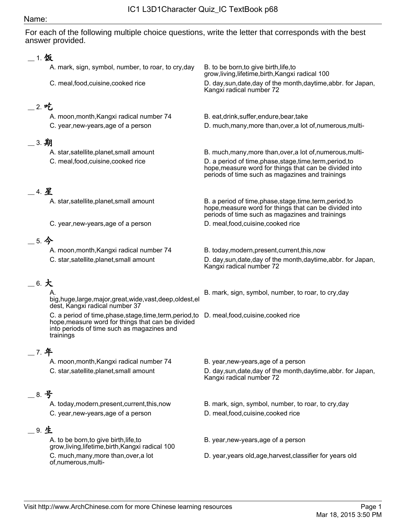## Name:

For each of the following multiple choice questions, write the letter that corresponds with the best answer provided.

| 1.饭           |                                                                                                                                                                                                               |                                                                                                                                                                        |  |
|---------------|---------------------------------------------------------------------------------------------------------------------------------------------------------------------------------------------------------------|------------------------------------------------------------------------------------------------------------------------------------------------------------------------|--|
|               | A. mark, sign, symbol, number, to roar, to cry, day                                                                                                                                                           | B. to be born, to give birth, life, to<br>grow, living, lifetime, birth, Kangxi radical 100                                                                            |  |
|               | C. meal, food, cuisine, cooked rice                                                                                                                                                                           | D. day, sun, date, day of the month, daytime, abbr. for Japan,<br>Kangxi radical number 72                                                                             |  |
| _ 2. 吃        |                                                                                                                                                                                                               |                                                                                                                                                                        |  |
|               | A. moon, month, Kangxi radical number 74                                                                                                                                                                      | B. eat, drink, suffer, endure, bear, take                                                                                                                              |  |
|               | C. year, new-years, age of a person                                                                                                                                                                           | D. much, many, more than, over, a lot of, numerous, multi-                                                                                                             |  |
| $\_\,$ 3. 期   |                                                                                                                                                                                                               |                                                                                                                                                                        |  |
|               | A. star, satellite, planet, small amount                                                                                                                                                                      | B. much, many, more than, over, a lot of, numerous, multi-                                                                                                             |  |
|               | C. meal, food, cuisine, cooked rice                                                                                                                                                                           | D. a period of time, phase, stage, time, term, period, to<br>hope, measure word for things that can be divided into<br>periods of time such as magazines and trainings |  |
| 4.星           |                                                                                                                                                                                                               |                                                                                                                                                                        |  |
|               | A. star, satellite, planet, small amount                                                                                                                                                                      | B. a period of time, phase, stage, time, term, period, to<br>hope, measure word for things that can be divided into<br>periods of time such as magazines and trainings |  |
|               | C. year, new-years, age of a person                                                                                                                                                                           | D. meal, food, cuisine, cooked rice                                                                                                                                    |  |
| $-5.$ 今       |                                                                                                                                                                                                               |                                                                                                                                                                        |  |
|               | A. moon, month, Kangxi radical number 74                                                                                                                                                                      | B. today, modern, present, current, this, now                                                                                                                          |  |
|               | C. star, satellite, planet, small amount                                                                                                                                                                      | D. day, sun, date, day of the month, day time, abbr. for Japan,<br>Kangxi radical number 72                                                                            |  |
| $\_$ 6. $\pm$ |                                                                                                                                                                                                               |                                                                                                                                                                        |  |
|               | big,huge,large,major,great,wide,vast,deep,oldest,el<br>dest, Kangxi radical number 37                                                                                                                         | B. mark, sign, symbol, number, to roar, to cry, day                                                                                                                    |  |
|               | C. a period of time, phase, stage, time, term, period, to D. meal, food, cuisine, cooked rice<br>hope, measure word for things that can be divided<br>into periods of time such as magazines and<br>trainings |                                                                                                                                                                        |  |
| 7. 年          |                                                                                                                                                                                                               |                                                                                                                                                                        |  |
|               | A. moon, month, Kangxi radical number 74                                                                                                                                                                      | B. year, new-years, age of a person                                                                                                                                    |  |
|               | C. star, satellite, planet, small amount                                                                                                                                                                      | D. day, sun, date, day of the month, daytime, abbr. for Japan,<br>Kangxi radical number 72                                                                             |  |
| __ 8. 号       |                                                                                                                                                                                                               |                                                                                                                                                                        |  |
|               | A. today, modern, present, current, this, now<br>C. year, new-years, age of a person                                                                                                                          | B. mark, sign, symbol, number, to roar, to cry, day<br>D. meal, food, cuisine, cooked rice                                                                             |  |
| $=$ 9. 生      |                                                                                                                                                                                                               |                                                                                                                                                                        |  |
|               | A. to be born, to give birth, life, to                                                                                                                                                                        | B. year, new-years, age of a person                                                                                                                                    |  |
|               | grow, living, lifetime, birth, Kangxi radical 100                                                                                                                                                             |                                                                                                                                                                        |  |
|               | C. much, many, more than, over, a lot<br>of,numerous,multi-                                                                                                                                                   | D. year, years old, age, harvest, classifier for years old                                                                                                             |  |
|               |                                                                                                                                                                                                               |                                                                                                                                                                        |  |